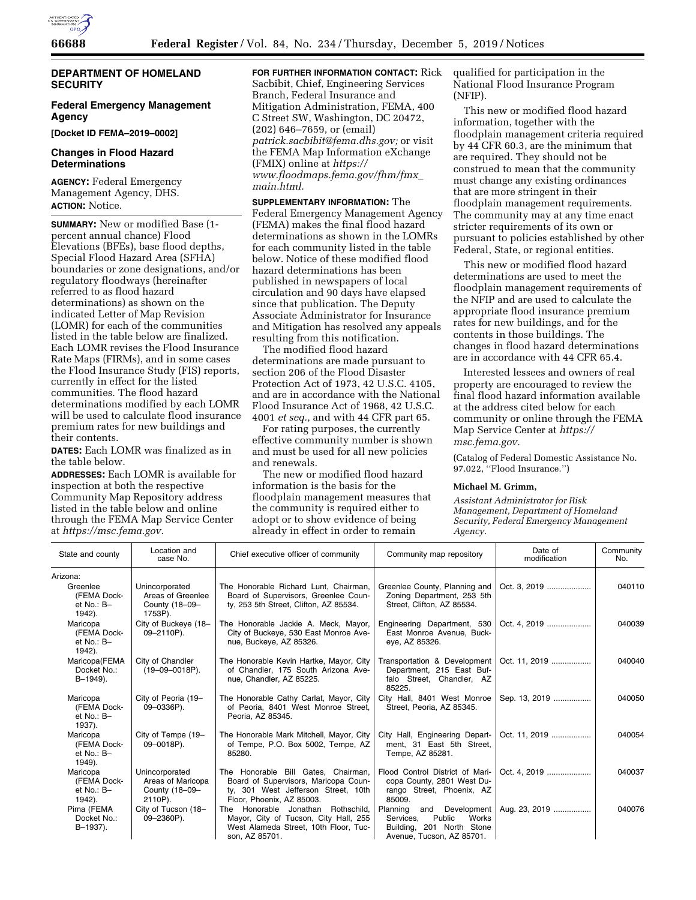

# **DEPARTMENT OF HOMELAND SECURITY**

# **Federal Emergency Management Agency**

**[Docket ID FEMA–2019–0002]** 

### **Changes in Flood Hazard Determinations**

**AGENCY:** Federal Emergency Management Agency, DHS. **ACTION:** Notice.

**SUMMARY:** New or modified Base (1 percent annual chance) Flood Elevations (BFEs), base flood depths, Special Flood Hazard Area (SFHA) boundaries or zone designations, and/or regulatory floodways (hereinafter referred to as flood hazard determinations) as shown on the indicated Letter of Map Revision (LOMR) for each of the communities listed in the table below are finalized. Each LOMR revises the Flood Insurance Rate Maps (FIRMs), and in some cases the Flood Insurance Study (FIS) reports, currently in effect for the listed communities. The flood hazard determinations modified by each LOMR will be used to calculate flood insurance premium rates for new buildings and their contents.

**DATES:** Each LOMR was finalized as in the table below.

**ADDRESSES:** Each LOMR is available for inspection at both the respective Community Map Repository address listed in the table below and online through the FEMA Map Service Center at *[https://msc.fema.gov.](https://msc.fema.gov)* 

### **FOR FURTHER INFORMATION CONTACT:** Rick Sacbibit, Chief, Engineering Services Branch, Federal Insurance and Mitigation Administration, FEMA, 400 C Street SW, Washington, DC 20472, (202) 646–7659, or (email) *[patrick.sacbibit@fema.dhs.gov;](mailto:patrick.sacbibit@fema.dhs.gov)* or visit the FEMA Map Information eXchange (FMIX) online at *[https://](https://www.floodmaps.fema.gov/fhm/fmx_main.html) [www.floodmaps.fema.gov/fhm/fmx](https://www.floodmaps.fema.gov/fhm/fmx_main.html)*\_ *[main.html.](https://www.floodmaps.fema.gov/fhm/fmx_main.html)*

**SUPPLEMENTARY INFORMATION:** The Federal Emergency Management Agency (FEMA) makes the final flood hazard determinations as shown in the LOMRs for each community listed in the table below. Notice of these modified flood hazard determinations has been published in newspapers of local circulation and 90 days have elapsed since that publication. The Deputy Associate Administrator for Insurance and Mitigation has resolved any appeals resulting from this notification.

The modified flood hazard determinations are made pursuant to section 206 of the Flood Disaster Protection Act of 1973, 42 U.S.C. 4105, and are in accordance with the National Flood Insurance Act of 1968, 42 U.S.C. 4001 *et seq.,* and with 44 CFR part 65.

For rating purposes, the currently effective community number is shown and must be used for all new policies and renewals.

The new or modified flood hazard information is the basis for the floodplain management measures that the community is required either to adopt or to show evidence of being already in effect in order to remain

qualified for participation in the National Flood Insurance Program (NFIP).

This new or modified flood hazard information, together with the floodplain management criteria required by 44 CFR 60.3, are the minimum that are required. They should not be construed to mean that the community must change any existing ordinances that are more stringent in their floodplain management requirements. The community may at any time enact stricter requirements of its own or pursuant to policies established by other Federal, State, or regional entities.

This new or modified flood hazard determinations are used to meet the floodplain management requirements of the NFIP and are used to calculate the appropriate flood insurance premium rates for new buildings, and for the contents in those buildings. The changes in flood hazard determinations are in accordance with 44 CFR 65.4.

Interested lessees and owners of real property are encouraged to review the final flood hazard information available at the address cited below for each community or online through the FEMA Map Service Center at *[https://](https://msc.fema.gov) [msc.fema.gov.](https://msc.fema.gov)* 

(Catalog of Federal Domestic Assistance No. 97.022, ''Flood Insurance.'')

# **Michael M. Grimm,**

*Assistant Administrator for Risk Management, Department of Homeland Security, Federal Emergency Management Agency.* 

| State and county                                  | Location and<br>case No.                                         | Chief executive officer of community                                                                                                            | Community map repository                                                                                                    | Date of<br>modification | Community<br>No. |
|---------------------------------------------------|------------------------------------------------------------------|-------------------------------------------------------------------------------------------------------------------------------------------------|-----------------------------------------------------------------------------------------------------------------------------|-------------------------|------------------|
| Arizona:                                          |                                                                  |                                                                                                                                                 |                                                                                                                             |                         |                  |
| Greenlee<br>(FEMA Dock-<br>et $No.: B-$<br>1942). | Unincorporated<br>Areas of Greenlee<br>County (18-09-<br>1753P). | The Honorable Richard Lunt, Chairman,<br>Board of Supervisors, Greenlee Coun-<br>ty, 253 5th Street, Clifton, AZ 85534.                         | Greenlee County, Planning and<br>Zoning Department, 253 5th<br>Street, Clifton, AZ 85534.                                   | Oct. 3, 2019            | 040110           |
| Maricopa<br>(FEMA Dock-<br>et $No.: B-$<br>1942). | City of Buckeye (18-<br>09-2110P).                               | The Honorable Jackie A. Meck, Mayor,<br>City of Buckeye, 530 East Monroe Ave-<br>nue, Buckeye, AZ 85326.                                        | Engineering Department, 530<br>East Monroe Avenue, Buck-<br>eye, AZ 85326.                                                  | Oct. 4, 2019            | 040039           |
| Maricopa(FEMA<br>Docket No.:<br>B-1949).          | City of Chandler<br>$(19-09-0018P)$ .                            | The Honorable Kevin Hartke, Mayor, City<br>of Chandler, 175 South Arizona Ave-<br>nue, Chandler, AZ 85225.                                      | Transportation & Development   Oct. 11, 2019<br>Department, 215 East Buf-<br>falo Street, Chandler, AZ<br>85225.            |                         | 040040           |
| Maricopa<br>(FEMA Dock-<br>et $No.: B-$<br>1937). | City of Peoria (19-<br>09-0336P).                                | The Honorable Cathy Carlat, Mayor, City<br>of Peoria, 8401 West Monroe Street,<br>Peoria, AZ 85345.                                             | City Hall, 8401 West Monroe<br>Street, Peoria, AZ 85345.                                                                    | Sep. 13, 2019           | 040050           |
| Maricopa<br>(FEMA Dock-<br>et $No.: B-$<br>1949). | City of Tempe (19-<br>09-0018P).                                 | The Honorable Mark Mitchell, Mayor, City<br>of Tempe, P.O. Box 5002, Tempe, AZ<br>85280.                                                        | City Hall, Engineering Depart-<br>ment, 31 East 5th Street,<br>Tempe, AZ 85281.                                             | Oct. 11, 2019           | 040054           |
| Maricopa<br>(FEMA Dock-<br>et $No: B-$<br>1942).  | Unincorporated<br>Areas of Maricopa<br>County (18-09-<br>2110P). | The Honorable Bill Gates, Chairman,<br>Board of Supervisors, Maricopa Coun-<br>ty, 301 West Jefferson Street, 10th<br>Floor, Phoenix, AZ 85003. | Flood Control District of Mari-<br>copa County, 2801 West Du-<br>rango Street, Phoenix, AZ<br>85009.                        | Oct. 4. 2019            | 040037           |
| Pima (FEMA<br>Docket No.:<br>B-1937).             | City of Tucson (18-<br>09-2360P).                                | The Honorable Jonathan Rothschild,<br>Mayor, City of Tucson, City Hall, 255<br>West Alameda Street, 10th Floor, Tuc-<br>son, AZ 85701.          | Planning<br>Development<br>and<br>Public<br>Services.<br>Works<br>201 North Stone<br>Building,<br>Avenue, Tucson, AZ 85701. | Aug. 23, 2019           | 040076           |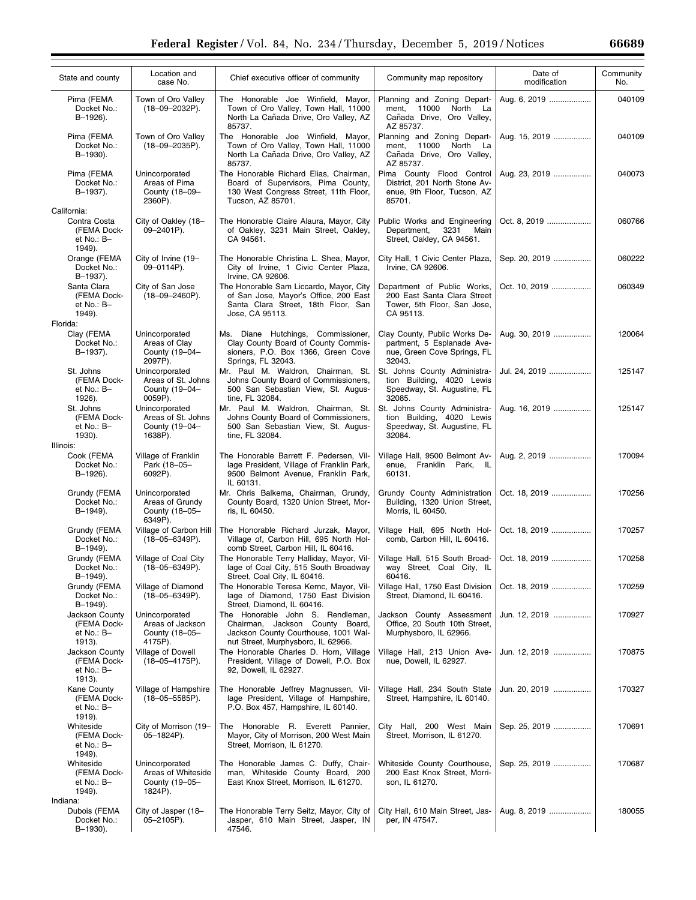| State and county                                      | Location and<br>case No.                                          | Chief executive officer of community                                                                                                              | Community map repository                                                                               | Date of<br>modification | Community<br>No. |
|-------------------------------------------------------|-------------------------------------------------------------------|---------------------------------------------------------------------------------------------------------------------------------------------------|--------------------------------------------------------------------------------------------------------|-------------------------|------------------|
| Pima (FEMA<br>Docket No.:<br>B-1926).                 | Town of Oro Valley<br>$(18 - 09 - 2032P)$ .                       | The Honorable Joe Winfield, Mayor,<br>Town of Oro Valley, Town Hall, 11000<br>North La Cañada Drive, Oro Valley, AZ<br>85737.                     | Planning and Zoning Depart-<br>11000<br>North La<br>ment,<br>Cañada Drive, Oro Valley,<br>AZ 85737.    | Aug. 6, 2019            | 040109           |
| Pima (FEMA<br>Docket No.:<br>B-1930).                 | Town of Oro Valley<br>$(18 - 09 - 2035P)$ .                       | The Honorable Joe Winfield, Mayor,<br>Town of Oro Valley, Town Hall, 11000<br>North La Cañada Drive, Oro Valley, AZ<br>85737.                     | Planning and Zoning Depart-<br>North La<br>ment, 11000<br>Cañada Drive, Oro Valley,<br>AZ 85737.       | Aug. 15, 2019           | 040109           |
| Pima (FEMA<br>Docket No.:<br>B-1937).                 | Unincorporated<br>Areas of Pima<br>County (18-09-<br>2360P).      | The Honorable Richard Elias, Chairman,<br>Board of Supervisors, Pima County,<br>130 West Congress Street, 11th Floor,<br>Tucson, AZ 85701.        | Pima County Flood Control<br>District. 201 North Stone Av-<br>enue, 9th Floor, Tucson, AZ<br>85701.    | Aug. 23, 2019           | 040073           |
| California:                                           |                                                                   |                                                                                                                                                   |                                                                                                        |                         |                  |
| Contra Costa<br>(FEMA Dock-<br>et No.: B-<br>1949).   | City of Oakley (18-<br>09-2401P).                                 | The Honorable Claire Alaura, Mayor, City<br>of Oakley, 3231 Main Street, Oakley,<br>CA 94561.                                                     | Public Works and Engineering<br>Department,<br>3231<br>Main<br>Street, Oakley, CA 94561.               | Oct. 8, 2019            | 060766           |
| Orange (FEMA<br>Docket No.:<br>B-1937).               | City of Irvine (19-<br>09-0114P).                                 | The Honorable Christina L. Shea, Mayor,<br>City of Irvine, 1 Civic Center Plaza,<br>Irvine, CA 92606.                                             | City Hall, 1 Civic Center Plaza,<br>Irvine, CA 92606.                                                  | Sep. 20, 2019           | 060222           |
| Santa Clara<br>(FEMA Dock-<br>et No.: B-<br>1949).    | City of San Jose<br>$(18 - 09 - 2460P)$ .                         | The Honorable Sam Liccardo, Mayor, City<br>of San Jose, Mayor's Office, 200 East<br>Santa Clara Street, 18th Floor, San<br>Jose, CA 95113.        | Department of Public Works,<br>200 East Santa Clara Street<br>Tower, 5th Floor, San Jose,<br>CA 95113. | Oct. 10, 2019           | 060349           |
| Florida:                                              |                                                                   |                                                                                                                                                   |                                                                                                        |                         |                  |
| Clay (FEMA<br>Docket No.:<br>B-1937).                 | Unincorporated<br>Areas of Clay<br>County (19-04-<br>2097P).      | Ms. Diane Hutchings, Commissioner,<br>Clay County Board of County Commis-<br>sioners, P.O. Box 1366, Green Cove<br>Springs, FL 32043.             | Clay County, Public Works De-<br>partment, 5 Esplanade Ave-<br>nue, Green Cove Springs, FL<br>32043.   | Aug. 30, 2019           | 120064           |
| St. Johns<br>(FEMA Dock-<br>et No.: B-<br>1926).      | Unincorporated<br>Areas of St. Johns<br>County (19-04-<br>0059P). | Mr. Paul M. Waldron, Chairman, St.<br>Johns County Board of Commissioners,<br>500 San Sebastian View, St. Augus-<br>tine, FL 32084.               | St. Johns County Administra-<br>tion Building, 4020 Lewis<br>Speedway, St. Augustine, FL<br>32085.     | Jul. 24, 2019           | 125147           |
| St. Johns<br>(FEMA Dock-<br>et No.: B-<br>1930).      | Unincorporated<br>Areas of St. Johns<br>County (19-04-<br>1638P). | Mr. Paul M. Waldron, Chairman, St.<br>Johns County Board of Commissioners,<br>500 San Sebastian View, St. Augus-<br>tine, FL 32084.               | St. Johns County Administra-<br>tion Building, 4020 Lewis<br>Speedway, St. Augustine, FL<br>32084.     | Aug. 16, 2019           | 125147           |
| Illinois:                                             |                                                                   |                                                                                                                                                   |                                                                                                        |                         |                  |
| Cook (FEMA<br>Docket No.:<br>B-1926).                 | Village of Franklin<br>Park (18-05-<br>6092P).                    | The Honorable Barrett F. Pedersen, Vil-<br>lage President, Village of Franklin Park,<br>9500 Belmont Avenue, Franklin Park,<br>IL 60131.          | Village Hall, 9500 Belmont Av-<br>enue, Franklin Park, IL<br>60131.                                    | Aug. 2, 2019            | 170094           |
| Grundy (FEMA<br>Docket No.:<br>B-1949).               | Unincorporated<br>Areas of Grundy<br>County (18-05-<br>6349P).    | Mr. Chris Balkema, Chairman, Grundy,<br>County Board, 1320 Union Street, Mor-<br>ris, IL 60450.                                                   | Grundy County Administration<br>Building, 1320 Union Street,<br>Morris, IL 60450.                      | Oct. 18, 2019           | 170256           |
| Grundy (FEMA<br>Docket No.:<br>B-1949).               | Village of Carbon Hill<br>$(18 - 05 - 6349P)$ .                   | The Honorable Richard Jurzak, Mayor,<br>Village of, Carbon Hill, 695 North Hol-<br>comb Street, Carbon Hill, IL 60416.                            | Village Hall, 695 North Hol-<br>comb, Carbon Hill, IL 60416.                                           | Oct. 18, 2019           | 170257           |
| Grundy (FEMA<br>Docket No.:<br>B-1949).               | Village of Coal City<br>$(18 - 05 - 6349P)$ .                     | The Honorable Terry Halliday, Mayor, Vil-<br>lage of Coal City, 515 South Broadway<br>Street, Coal City, IL 60416.                                | Village Hall, 515 South Broad-<br>way Street, Coal City, IL<br>60416.                                  | Oct. 18, 2019           | 170258           |
| Grundy (FEMA<br>Docket No.:<br>B-1949).               | Village of Diamond<br>$(18 - 05 - 6349P)$ .                       | The Honorable Teresa Kernc, Mayor, Vil-<br>lage of Diamond, 1750 East Division<br>Street, Diamond, IL 60416.                                      | Village Hall, 1750 East Division<br>Street, Diamond, IL 60416.                                         | Oct. 18, 2019           | 170259           |
| Jackson County<br>(FEMA Dock-<br>et No.: B-<br>1913). | Unincorporated<br>Areas of Jackson<br>County (18-05-<br>4175P).   | The Honorable John S. Rendleman,<br>Chairman, Jackson County Board,<br>Jackson County Courthouse, 1001 Wal-<br>nut Street, Murphysboro, IL 62966. | Jackson County Assessment<br>Office, 20 South 10th Street,<br>Murphysboro, IL 62966.                   | Jun. 12, 2019           | 170927           |
| Jackson County<br>(FEMA Dock-<br>et No.: B-<br>1913). | Village of Dowell<br>$(18 - 05 - 4175P)$ .                        | The Honorable Charles D. Horn, Village<br>President, Village of Dowell, P.O. Box<br>92, Dowell, IL 62927.                                         | Village Hall, 213 Union Ave-<br>nue, Dowell, IL 62927.                                                 | Jun. 12, 2019           | 170875           |
| Kane County<br>(FEMA Dock-<br>et No.: B-<br>1919).    | Village of Hampshire<br>$(18 - 05 - 5585P)$ .                     | The Honorable Jeffrey Magnussen, Vil-<br>lage President, Village of Hampshire,<br>P.O. Box 457, Hampshire, IL 60140.                              | Village Hall, 234 South State<br>Street, Hampshire, IL 60140.                                          | Jun. 20, 2019           | 170327           |
| Whiteside<br>(FEMA Dock-<br>et No.: B-<br>1949).      | City of Morrison (19-<br>05-1824P).                               | Honorable R. Everett Pannier,<br>The<br>Mayor, City of Morrison, 200 West Main<br>Street, Morrison, IL 61270.                                     | City Hall, 200 West Main<br>Street, Morrison, IL 61270.                                                | Sep. 25, 2019           | 170691           |
| Whiteside<br>(FEMA Dock-<br>et No.: B-<br>1949).      | Unincorporated<br>Areas of Whiteside<br>County (19-05-<br>1824P). | The Honorable James C. Duffy, Chair-<br>man, Whiteside County Board, 200<br>East Knox Street, Morrison, IL 61270.                                 | Whiteside County Courthouse,<br>200 East Knox Street, Morri-<br>son, IL 61270.                         | Sep. 25, 2019           | 170687           |
|                                                       |                                                                   |                                                                                                                                                   |                                                                                                        |                         |                  |
| Indiana:<br>Dubois (FEMA<br>Docket No.:<br>B-1930).   | City of Jasper (18-<br>05-2105P).                                 | The Honorable Terry Seitz, Mayor, City of<br>Jasper, 610 Main Street, Jasper, IN<br>47546.                                                        | City Hall, 610 Main Street, Jas-<br>per, IN 47547.                                                     | Aug. 8, 2019            | 180055           |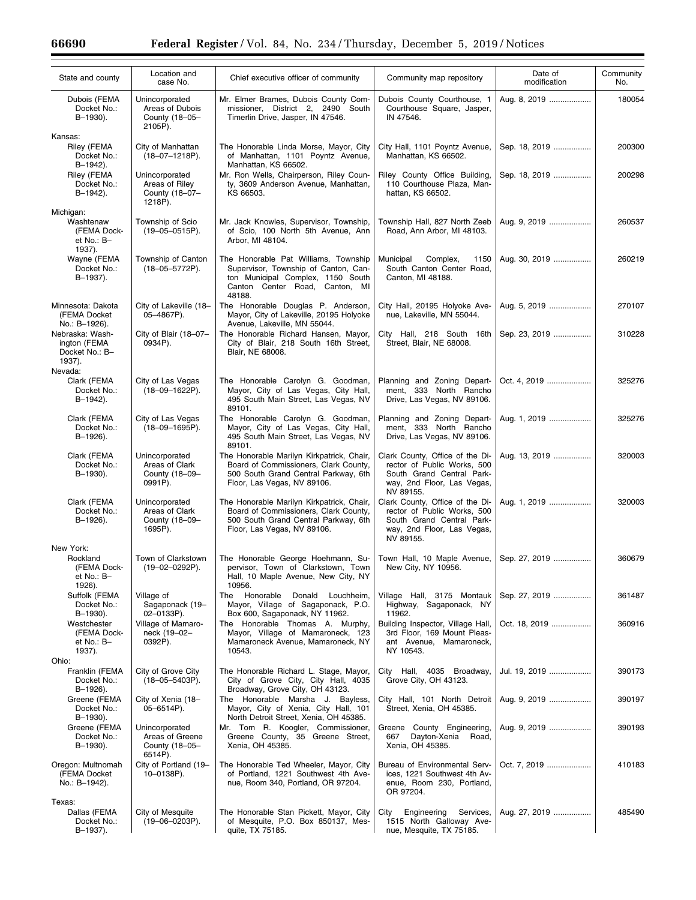| State and county                                              | Location and<br>case No.                                       | Chief executive officer of community                                                                                                                          | Community map repository                                                                                                               | Date of<br>modification | Community<br>No. |
|---------------------------------------------------------------|----------------------------------------------------------------|---------------------------------------------------------------------------------------------------------------------------------------------------------------|----------------------------------------------------------------------------------------------------------------------------------------|-------------------------|------------------|
| Dubois (FEMA<br>Docket No.:<br>B-1930).                       | Unincorporated<br>Areas of Dubois<br>County (18-05-<br>2105P). | Mr. Elmer Brames, Dubois County Com-<br>missioner, District 2, 2490 South<br>Timerlin Drive, Jasper, IN 47546.                                                | Dubois County Courthouse, 1<br>Courthouse Square, Jasper,<br>IN 47546.                                                                 | Aug. 8, 2019            | 180054           |
| Kansas:<br>Riley (FEMA<br>Docket No.:                         | City of Manhattan<br>$(18 - 07 - 1218P)$ .                     | The Honorable Linda Morse, Mayor, City<br>of Manhattan, 1101 Poyntz Avenue,                                                                                   | City Hall, 1101 Poyntz Avenue,<br>Manhattan, KS 66502.                                                                                 | Sep. 18, 2019           | 200300           |
| B-1942).<br>Riley (FEMA<br>Docket No.:<br>B-1942).            | Unincorporated<br>Areas of Riley<br>County (18-07-<br>1218P).  | Manhattan, KS 66502.<br>Mr. Ron Wells, Chairperson, Riley Coun-<br>ty, 3609 Anderson Avenue, Manhattan,<br>KS 66503.                                          | Riley County Office Building,<br>110 Courthouse Plaza, Man-<br>hattan, KS 66502.                                                       | Sep. 18, 2019           | 200298           |
| Michigan:<br>Washtenaw<br>(FEMA Dock-<br>et No.: B-<br>1937). | Township of Scio<br>$(19 - 05 - 0515)$ .                       | Mr. Jack Knowles, Supervisor, Township,<br>of Scio, 100 North 5th Avenue, Ann<br>Arbor, MI 48104.                                                             | Township Hall, 827 North Zeeb<br>Road, Ann Arbor, MI 48103.                                                                            | Aug. 9, 2019            | 260537           |
| Wayne (FEMA<br>Docket No.:<br>B-1937).                        | Township of Canton<br>$(18 - 05 - 5772P)$ .                    | The Honorable Pat Williams, Township<br>Supervisor, Township of Canton, Can-<br>ton Municipal Complex, 1150 South<br>Canton Center Road, Canton, MI<br>48188. | Municipal<br>Complex,<br>1150<br>South Canton Center Road,<br>Canton, MI 48188.                                                        | Aug. 30, 2019           | 260219           |
| Minnesota: Dakota<br>(FEMA Docket<br>No.: B-1926).            | City of Lakeville (18-<br>05-4867P).                           | The Honorable Douglas P. Anderson,<br>Mayor, City of Lakeville, 20195 Holyoke<br>Avenue, Lakeville, MN 55044.                                                 | City Hall, 20195 Holyoke Ave-<br>nue, Lakeville, MN 55044.                                                                             | Aug. 5, 2019            | 270107           |
| Nebraska: Wash-<br>ington (FEMA<br>Docket No.: B-<br>1937).   | City of Blair (18-07-<br>0934P).                               | The Honorable Richard Hansen, Mayor,<br>City of Blair, 218 South 16th Street,<br>Blair, NE 68008.                                                             | City Hall, 218 South 16th<br>Street, Blair, NE 68008.                                                                                  | Sep. 23, 2019           | 310228           |
| Nevada:<br>Clark (FEMA<br>Docket No.:<br>B-1942).             | City of Las Vegas<br>$(18 - 09 - 1622P)$ .                     | The Honorable Carolyn G. Goodman,<br>Mayor, City of Las Vegas, City Hall,<br>495 South Main Street, Las Vegas, NV<br>89101.                                   | Planning and Zoning Depart-<br>ment, 333 North Rancho<br>Drive, Las Vegas, NV 89106.                                                   | Oct. 4, 2019            | 325276           |
| Clark (FEMA<br>Docket No.:<br>B-1926).                        | City of Las Vegas<br>$(18 - 09 - 1695P)$ .                     | The Honorable Carolyn G. Goodman,<br>Mayor, City of Las Vegas, City Hall,<br>495 South Main Street, Las Vegas, NV<br>89101.                                   | Planning and Zoning Depart-<br>ment, 333 North Rancho<br>Drive, Las Vegas, NV 89106.                                                   | Aug. 1, 2019            | 325276           |
| Clark (FEMA<br>Docket No.:<br>B-1930).                        | Unincorporated<br>Areas of Clark<br>County (18-09-<br>0991P).  | The Honorable Marilyn Kirkpatrick, Chair,<br>Board of Commissioners, Clark County,<br>500 South Grand Central Parkway, 6th<br>Floor, Las Vegas, NV 89106.     | Clark County, Office of the Di-<br>rector of Public Works, 500<br>South Grand Central Park-<br>way, 2nd Floor, Las Vegas,<br>NV 89155. | Aug. 13, 2019           | 320003           |
| Clark (FEMA<br>Docket No.:<br>B-1926).                        | Unincorporated<br>Areas of Clark<br>County (18-09-<br>1695P).  | The Honorable Marilyn Kirkpatrick, Chair,<br>Board of Commissioners, Clark County,<br>500 South Grand Central Parkway, 6th<br>Floor, Las Vegas, NV 89106.     | Clark County, Office of the Di-<br>rector of Public Works, 500<br>South Grand Central Park-<br>way, 2nd Floor, Las Vegas,<br>NV 89155. | Aug. 1, 2019            | 320003           |
| New York:<br>Rockland<br>(FEMA Dock-<br>et No.: B-<br>1926).  | Town of Clarkstown<br>(19-02-0292P).                           | The Honorable George Hoehmann, Su-<br>pervisor, Town of Clarkstown, Town<br>Hall, 10 Maple Avenue, New City, NY<br>10956.                                     | Town Hall, 10 Maple Avenue,<br>New City, NY 10956.                                                                                     | Sep. 27, 2019           | 360679           |
| Suffolk (FEMA<br>Docket No.:<br>B-1930).                      | Village of<br>Sagaponack (19-<br>02-0133P).                    | Honorable Donald Louchheim,<br>The<br>Mayor, Village of Sagaponack, P.O.<br>Box 600, Sagaponack, NY 11962.                                                    | Village Hall, 3175 Montauk<br>Highway, Sagaponack, NY<br>11962.                                                                        | Sep. 27, 2019           | 361487           |
| Westchester<br>(FEMA Dock-<br>et No.: B-<br>1937).            | Village of Mamaro-<br>neck (19-02-<br>0392P).                  | The Honorable Thomas A. Murphy,<br>Mayor, Village of Mamaroneck, 123<br>Mamaroneck Avenue, Mamaroneck, NY<br>10543.                                           | Building Inspector, Village Hall,<br>3rd Floor, 169 Mount Pleas-<br>ant Avenue, Mamaroneck,<br>NY 10543.                               | Oct. 18, 2019           | 360916           |
| Ohio:<br>Franklin (FEMA<br>Docket No.:<br>B-1926).            | City of Grove City<br>$(18 - 05 - 5403P)$ .                    | The Honorable Richard L. Stage, Mayor,<br>City of Grove City, City Hall, 4035                                                                                 | City Hall, 4035 Broadway,<br>Grove City, OH 43123.                                                                                     | Jul. 19, 2019           | 390173           |
| Greene (FEMA<br>Docket No.:<br>B-1930).                       | City of Xenia (18-<br>$05 - 6514P$ ).                          | Broadway, Grove City, OH 43123.<br>The Honorable Marsha J. Bayless,<br>Mayor, City of Xenia, City Hall, 101<br>North Detroit Street, Xenia, OH 45385.         | City Hall, 101 North Detroit<br>Street, Xenia, OH 45385.                                                                               | Aug. 9, 2019            | 390197           |
| Greene (FEMA<br>Docket No.:<br>B-1930).                       | Unincorporated<br>Areas of Greene<br>County (18-05-<br>6514P). | Mr. Tom R. Koogler, Commissioner,<br>Greene County, 35 Greene Street,<br>Xenia, OH 45385.                                                                     | Greene County Engineering,<br>Dayton-Xenia<br>667<br>Road,<br>Xenia, OH 45385.                                                         | Aug. 9, 2019            | 390193           |
| Oregon: Multnomah<br>(FEMA Docket<br>No.: B-1942).            | City of Portland (19-<br>10-0138P).                            | The Honorable Ted Wheeler, Mayor, City<br>of Portland, 1221 Southwest 4th Ave-<br>nue, Room 340, Portland, OR 97204.                                          | Bureau of Environmental Serv-<br>ices, 1221 Southwest 4th Av-<br>enue, Room 230, Portland,<br>OR 97204.                                | Oct. 7, 2019            | 410183           |
| Texas:<br>Dallas (FEMA<br>Docket No.:<br>B-1937).             | City of Mesquite<br>$(19 - 06 - 0203P)$ .                      | The Honorable Stan Pickett, Mayor, City<br>of Mesquite, P.O. Box 850137, Mes-<br>quite, TX 75185.                                                             | City<br>Engineering<br>Services,<br>1515 North Galloway Ave-<br>nue, Mesquite, TX 75185.                                               | Aug. 27, 2019           | 485490           |